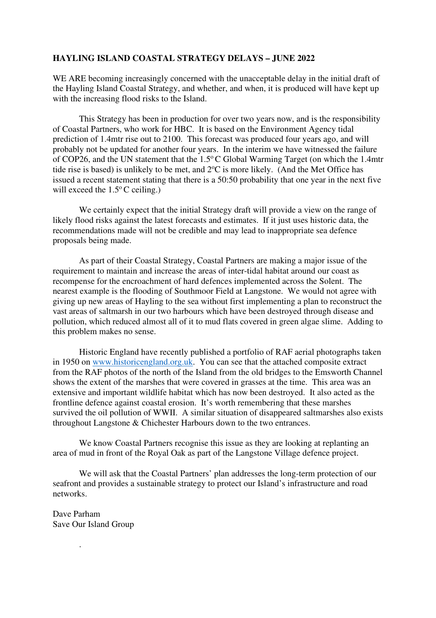## **HAYLING ISLAND COASTAL STRATEGY DELAYS – JUNE 2022**

WE ARE becoming increasingly concerned with the unacceptable delay in the initial draft of the Hayling Island Coastal Strategy, and whether, and when, it is produced will have kept up with the increasing flood risks to the Island.

 This Strategy has been in production for over two years now, and is the responsibility of Coastal Partners, who work for HBC. It is based on the Environment Agency tidal prediction of 1.4mtr rise out to 2100. This forecast was produced four years ago, and will probably not be updated for another four years. In the interim we have witnessed the failure of COP26, and the UN statement that the  $1.5^{\circ}$ C Global Warming Target (on which the 1.4mtr tide rise is based) is unlikely to be met, and  $2^{\circ}C$  is more likely. (And the Met Office has issued a recent statement stating that there is a 50:50 probability that one year in the next five will exceed the  $1.5^{\circ}$ C ceiling.)

We certainly expect that the initial Strategy draft will provide a view on the range of likely flood risks against the latest forecasts and estimates. If it just uses historic data, the recommendations made will not be credible and may lead to inappropriate sea defence proposals being made.

 As part of their Coastal Strategy, Coastal Partners are making a major issue of the requirement to maintain and increase the areas of inter-tidal habitat around our coast as recompense for the encroachment of hard defences implemented across the Solent. The nearest example is the flooding of Southmoor Field at Langstone. We would not agree with giving up new areas of Hayling to the sea without first implementing a plan to reconstruct the vast areas of saltmarsh in our two harbours which have been destroyed through disease and pollution, which reduced almost all of it to mud flats covered in green algae slime. Adding to this problem makes no sense.

Historic England have recently published a portfolio of RAF aerial photographs taken in 1950 on www.historicengland.org.uk. You can see that the attached composite extract from the RAF photos of the north of the Island from the old bridges to the Emsworth Channel shows the extent of the marshes that were covered in grasses at the time. This area was an extensive and important wildlife habitat which has now been destroyed. It also acted as the frontline defence against coastal erosion. It's worth remembering that these marshes survived the oil pollution of WWII. A similar situation of disappeared saltmarshes also exists throughout Langstone & Chichester Harbours down to the two entrances.

We know Coastal Partners recognise this issue as they are looking at replanting an area of mud in front of the Royal Oak as part of the Langstone Village defence project.

We will ask that the Coastal Partners' plan addresses the long-term protection of our seafront and provides a sustainable strategy to protect our Island's infrastructure and road networks.

Dave Parham Save Our Island Group

.